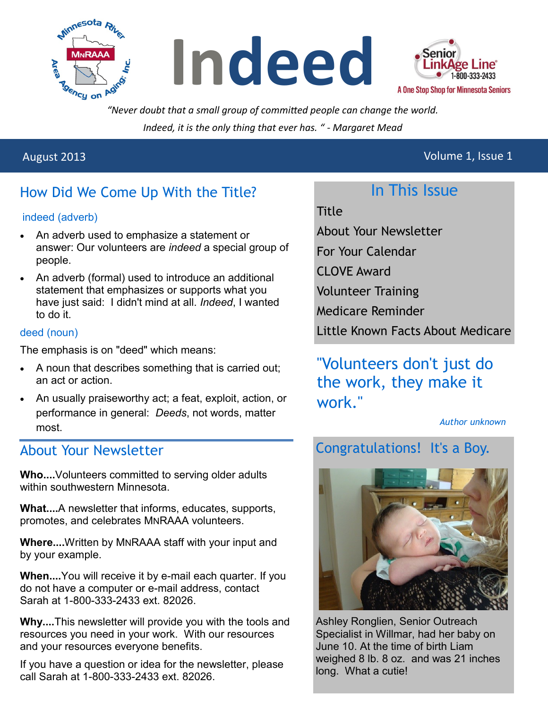





*"Never doubt that a small group of committed people can change the world. Indeed, it is the only thing that ever has. " - Margaret Mead*

## August 2013 Volume 1, Issue 1

# How Did We Come Up With the Title?

#### indeed (adverb)

- An adverb used to emphasize a statement or answer: Our volunteers are *indeed* a special group of people.
- An adverb (formal) used to introduce an additional statement that emphasizes or supports what you have just said: I didn't mind at all. *Indeed*, I wanted to do it.

#### deed (noun)

The emphasis is on "deed" which means:

- A noun that describes something that is carried out; an act or action.
- An usually praiseworthy act; a feat, exploit, action, or performance in general: *Deeds*, not words, matter most.

### About Your Newsletter

**Who....**Volunteers committed to serving older adults within southwestern Minnesota

**What....**A newsletter that informs, educates, supports, promotes, and celebrates MNRAAA volunteers.

**Where....**Written by MNRAAA staff with your input and by your example.

**When....**You will receive it by e-mail each quarter. If you do not have a computer or e-mail address, contact Sarah at 1-800-333-2433 ext. 82026.

**Why....**This newsletter will provide you with the tools and resources you need in your work. With our resources and your resources everyone benefits.

If you have a question or idea for the newsletter, please call Sarah at 1-800-333-2433 ext. 82026.

## In This Issue

Title

- About Your Newsletter
- For Your Calendar
- CLOVE Award
- Volunteer Training
- Medicare Reminder
- Little Known Facts About Medicare

# "Volunteers don't just do the work, they make it work."

*Author unknown*

# Congratulations! It's a Boy.



Ashley Ronglien, Senior Outreach Specialist in Willmar, had her baby on June 10. At the time of birth Liam weighed 8 lb. 8 oz. and was 21 inches long. What a cutie!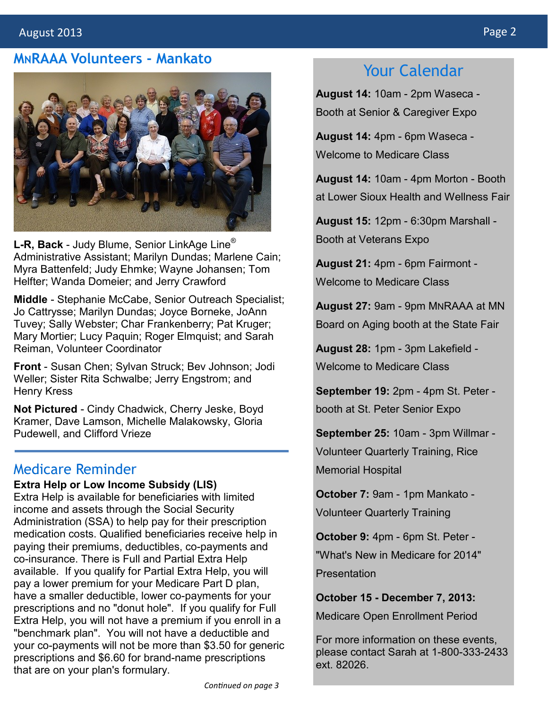#### **MNRAAA Volunteers - Mankato**



**L-R, Back** - Judy Blume, Senior LinkAge Line® Administrative Assistant; Marilyn Dundas; Marlene Cain; Myra Battenfeld; Judy Ehmke; Wayne Johansen; Tom Helfter; Wanda Domeier; and Jerry Crawford

**Middle** - Stephanie McCabe, Senior Outreach Specialist; Jo Cattrysse; Marilyn Dundas; Joyce Borneke, JoAnn Tuvey; Sally Webster; Char Frankenberry; Pat Kruger; Mary Mortier; Lucy Paquin; Roger Elmquist; and Sarah Reiman, Volunteer Coordinator

**Front** - Susan Chen; Sylvan Struck; Bev Johnson; Jodi Weller; Sister Rita Schwalbe; Jerry Engstrom; and Henry Kress

**Not Pictured** - Cindy Chadwick, Cherry Jeske, Boyd Kramer, Dave Lamson, Michelle Malakowsky, Gloria Pudewell, and Clifford Vrieze

#### Medicare Reminder

**Extra Help or Low Income Subsidy (LIS)** Extra Help is available for beneficiaries with limited income and assets through the Social Security Administration (SSA) to help pay for their prescription medication costs. Qualified beneficiaries receive help in paying their premiums, deductibles, co-payments and co-insurance. There is Full and Partial Extra Help available. If you qualify for Partial Extra Help, you will pay a lower premium for your Medicare Part D plan, have a smaller deductible, lower co-payments for your prescriptions and no "donut hole". If you qualify for Full Extra Help, you will not have a premium if you enroll in a "benchmark plan". You will not have a deductible and your co-payments will not be more than \$3.50 for generic prescriptions and \$6.60 for brand-name prescriptions that are on your plan's formulary.

## Your Calendar

**August 14:** 10am - 2pm Waseca - Booth at Senior & Caregiver Expo

**August 14:** 4pm - 6pm Waseca - Welcome to Medicare Class

**August 14:** 10am - 4pm Morton - Booth at Lower Sioux Health and Wellness Fair

**August 15:** 12pm - 6:30pm Marshall - Booth at Veterans Expo

**August 21:** 4pm - 6pm Fairmont - Welcome to Medicare Class

**August 27:** 9am - 9pm MNRAAA at MN Board on Aging booth at the State Fair

**August 28:** 1pm - 3pm Lakefield - Welcome to Medicare Class

**September 19:** 2pm - 4pm St. Peter booth at St. Peter Senior Expo

**September 25:** 10am - 3pm Willmar - Volunteer Quarterly Training, Rice Memorial Hospital

**October 7:** 9am - 1pm Mankato - Volunteer Quarterly Training

**October 9:** 4pm - 6pm St. Peter - "What's New in Medicare for 2014" **Presentation** 

**October 15 - December 7, 2013:**

Medicare Open Enrollment Period

For more information on these events, please contact Sarah at 1-800-333-2433 ext. 82026.